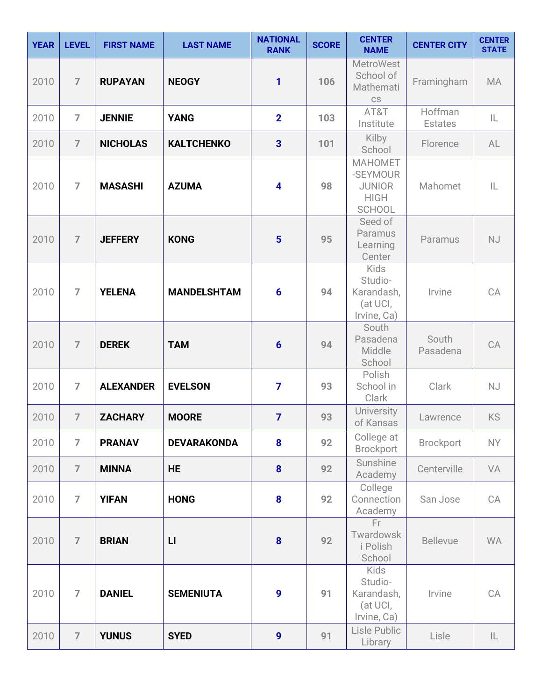| <b>YEAR</b> | <b>LEVEL</b>   | <b>FIRST NAME</b> | <b>LAST NAME</b>   | <b>NATIONAL</b><br><b>RANK</b> | <b>SCORE</b> | <b>CENTER</b><br><b>NAME</b>                                                | <b>CENTER CITY</b>        | <b>CENTER</b><br><b>STATE</b> |
|-------------|----------------|-------------------|--------------------|--------------------------------|--------------|-----------------------------------------------------------------------------|---------------------------|-------------------------------|
| 2010        | $\overline{7}$ | <b>RUPAYAN</b>    | <b>NEOGY</b>       | 1                              | 106          | <b>MetroWest</b><br>School of<br>Mathemati<br>CS                            | Framingham                | <b>MA</b>                     |
| 2010        | $\overline{7}$ | <b>JENNIE</b>     | <b>YANG</b>        | $\mathbf{2}$                   | 103          | AT&T<br>Institute                                                           | Hoffman<br><b>Estates</b> | IL                            |
| 2010        | $\overline{7}$ | <b>NICHOLAS</b>   | <b>KALTCHENKO</b>  | $\overline{\mathbf{3}}$        | 101          | Kilby<br>School                                                             | Florence                  | AL                            |
| 2010        | $\overline{7}$ | <b>MASASHI</b>    | <b>AZUMA</b>       | 4                              | 98           | <b>MAHOMET</b><br>-SEYMOUR<br><b>JUNIOR</b><br><b>HIGH</b><br><b>SCHOOL</b> | Mahomet                   | IL                            |
| 2010        | $\overline{7}$ | <b>JEFFERY</b>    | <b>KONG</b>        | $5\phantom{1}$                 | 95           | Seed of<br>Paramus<br>Learning<br>Center                                    | Paramus                   | <b>NJ</b>                     |
| 2010        | $\overline{7}$ | <b>YELENA</b>     | <b>MANDELSHTAM</b> | $6\phantom{1}6$                | 94           | Kids<br>Studio-<br>Karandash,<br>(at UCI,<br>Irvine, Ca)                    | Irvine                    | CA                            |
| 2010        | $\overline{7}$ | <b>DEREK</b>      | <b>TAM</b>         | $6\phantom{1}6$                | 94           | South<br>Pasadena<br>Middle<br>School                                       | South<br>Pasadena         | CA                            |
| 2010        | $\overline{7}$ | <b>ALEXANDER</b>  | <b>EVELSON</b>     | $\overline{7}$                 | 93           | Polish<br>School in<br>Clark                                                | Clark                     | NJ                            |
| 2010        | $\overline{7}$ | <b>ZACHARY</b>    | <b>MOORE</b>       | $\overline{7}$                 | 93           | University<br>of Kansas                                                     | Lawrence                  | <b>KS</b>                     |
| 2010        | $\overline{7}$ | <b>PRANAV</b>     | <b>DEVARAKONDA</b> | 8                              | 92           | College at<br><b>Brockport</b>                                              | Brockport                 | <b>NY</b>                     |
| 2010        | $\overline{7}$ | <b>MINNA</b>      | <b>HE</b>          | $\boldsymbol{8}$               | 92           | Sunshine<br>Academy                                                         | Centerville               | VA                            |
| 2010        | $\overline{7}$ | <b>YIFAN</b>      | <b>HONG</b>        | 8                              | 92           | College<br>Connection<br>Academy                                            | San Jose                  | CA                            |
| 2010        | $\overline{7}$ | <b>BRIAN</b>      | L1                 | 8                              | 92           | Fr.<br>Twardowsk<br>i Polish<br>School                                      | <b>Bellevue</b>           | <b>WA</b>                     |
| 2010        | $\overline{7}$ | <b>DANIEL</b>     | <b>SEMENIUTA</b>   | 9                              | 91           | <b>Kids</b><br>Studio-<br>Karandash,<br>(at UCI,<br>Irvine, Ca)             | Irvine                    | CA                            |
| 2010        | $\overline{7}$ | <b>YUNUS</b>      | <b>SYED</b>        | $\overline{9}$                 | 91           | Lisle Public<br>Library                                                     | Lisle                     | $\mathsf{IL}$                 |